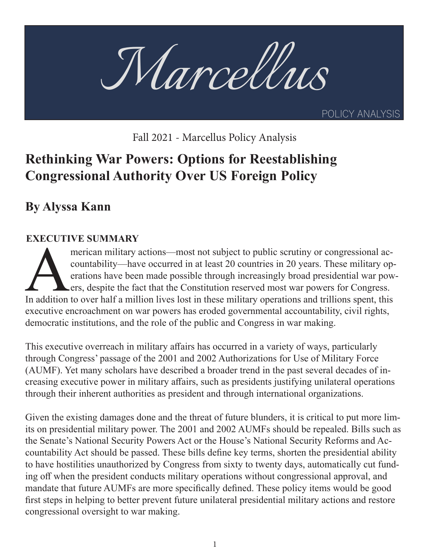

Fall 2021 - Marcellus Policy Analysis

# **Rethinking War Powers: Options for Reestablishing Congressional Authority Over US Foreign Policy**

**By Alyssa Kann**

# **EXECUTIVE SUMMARY**

merican military actions—most not subject to public scrutiny or congressional accountability—have occurred in at least 20 countries in 20 years. These military operations have been made possible through increasingly broad presidential war powers, despite the fact that the Constitution reserved most war powers for Congress. In addition to over half a million lives lost in these military operations and trillions spent, this executive encroachment on war powers has eroded governmental accountability, civil rights, democratic institutions, and the role of the public and Congress in war making.

This executive overreach in military affairs has occurred in a variety of ways, particularly through Congress' passage of the 2001 and 2002 Authorizations for Use of Military Force (AUMF). Yet many scholars have described a broader trend in the past several decades of increasing executive power in military affairs, such as presidents justifying unilateral operations through their inherent authorities as president and through international organizations.

Given the existing damages done and the threat of future blunders, it is critical to put more limits on presidential military power. The 2001 and 2002 AUMFs should be repealed. Bills such as the Senate's National Security Powers Act or the House's National Security Reforms and Accountability Act should be passed. These bills define key terms, shorten the presidential ability to have hostilities unauthorized by Congress from sixty to twenty days, automatically cut funding off when the president conducts military operations without congressional approval, and mandate that future AUMFs are more specifically defined. These policy items would be good first steps in helping to better prevent future unilateral presidential military actions and restore congressional oversight to war making.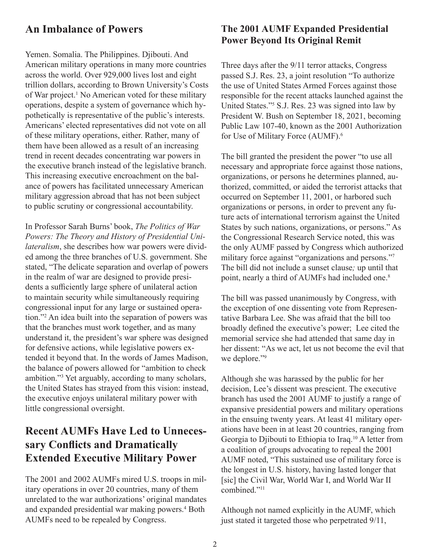## **An Imbalance of Powers**

Yemen. Somalia. The Philippines. Djibouti. And American military operations in many more countries across the world. Over 929,000 lives lost and eight trillion dollars, according to Brown University's Costs of War project.<sup>1</sup> No American voted for these military operations, despite a system of governance which hypothetically is representative of the public's interests. Americans' elected representatives did not vote on all of these military operations, either. Rather, many of them have been allowed as a result of an increasing trend in recent decades concentrating war powers in the executive branch instead of the legislative branch. This increasing executive encroachment on the balance of powers has facilitated unnecessary American military aggression abroad that has not been subject to public scrutiny or congressional accountability.

In Professor Sarah Burns' book, *The Politics of War Powers: The Theory and History of Presidential Unilateralism*, she describes how war powers were divided among the three branches of U.S. government. She stated, "The delicate separation and overlap of powers in the realm of war are designed to provide presidents a sufficiently large sphere of unilateral action to maintain security while simultaneously requiring congressional input for any large or sustained operation."2 An idea built into the separation of powers was that the branches must work together, and as many understand it, the president's war sphere was designed for defensive actions, while legislative powers extended it beyond that. In the words of James Madison, the balance of powers allowed for "ambition to check ambition."3 Yet arguably, according to many scholars, the United States has strayed from this vision: instead, the executive enjoys unilateral military power with little congressional oversight.

# **Recent AUMFs Have Led to Unnecessary Conflicts and Dramatically Extended Executive Military Power**

The 2001 and 2002 AUMFs mired U.S. troops in military operations in over 20 countries, many of them unrelated to the war authorizations' original mandates and expanded presidential war making powers.<sup>4</sup> Both AUMFs need to be repealed by Congress.

# **The 2001 AUMF Expanded Presidential Power Beyond Its Original Remit**

Three days after the 9/11 terror attacks, Congress passed S.J. Res. 23, a joint resolution "To authorize the use of United States Armed Forces against those responsible for the recent attacks launched against the United States."5 S.J. Res. 23 was signed into law by President W. Bush on September 18, 2021, becoming Public Law 107-40, known as the 2001 Authorization for Use of Military Force (AUMF).<sup>6</sup>

The bill granted the president the power "to use all necessary and appropriate force against those nations, organizations, or persons he determines planned, authorized, committed, or aided the terrorist attacks that occurred on September 11, 2001, or harbored such organizations or persons, in order to prevent any future acts of international terrorism against the United States by such nations, organizations, or persons." As the Congressional Research Service noted, this was the only AUMF passed by Congress which authorized military force against "organizations and persons."7 The bill did not include a sunset clause*;* up until that point, nearly a third of AUMFs had included one.<sup>8</sup>

The bill was passed unanimously by Congress, with the exception of one dissenting vote from Representative Barbara Lee. She was afraid that the bill too broadly defined the executive's power; Lee cited the memorial service she had attended that same day in her dissent: "As we act, let us not become the evil that we deplore."<sup>9</sup>

Although she was harassed by the public for her decision, Lee's dissent was prescient. The executive branch has used the 2001 AUMF to justify a range of expansive presidential powers and military operations in the ensuing twenty years. At least 41 military operations have been in at least 20 countries, ranging from Georgia to Djibouti to Ethiopia to Iraq.10 A letter from a coalition of groups advocating to repeal the 2001 AUMF noted, "This sustained use of military force is the longest in U.S. history, having lasted longer that [sic] the Civil War, World War I, and World War II combined."11

Although not named explicitly in the AUMF, which just stated it targeted those who perpetrated  $9/11$ ,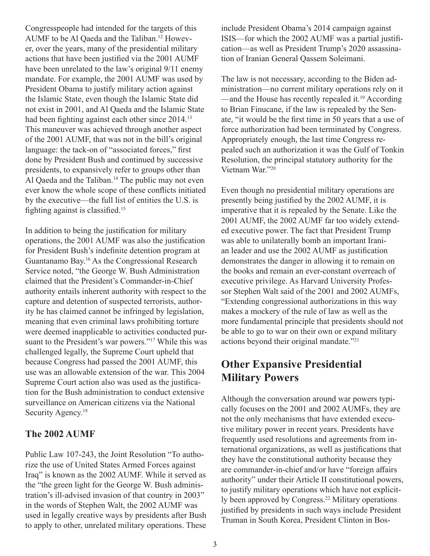Congresspeople had intended for the targets of this AUMF to be Al Qaeda and the Taliban.12 However, over the years, many of the presidential military actions that have been justified via the 2001 AUMF have been unrelated to the law's original 9/11 enemy mandate. For example, the 2001 AUMF was used by President Obama to justify military action against the Islamic State, even though the Islamic State did not exist in 2001, and Al Qaeda and the Islamic State had been fighting against each other since 2014.<sup>13</sup> This maneuver was achieved through another aspect of the 2001 AUMF, that was not in the bill's original language: the tack-on of "associated forces," first done by President Bush and continued by successive presidents, to expansively refer to groups other than Al Qaeda and the Taliban.<sup>14</sup> The public may not even ever know the whole scope of these conflicts initiated by the executive—the full list of entities the U.S. is fighting against is classified.<sup>15</sup>

In addition to being the justification for military operations, the 2001 AUMF was also the justification for President Bush's indefinite detention program at Guantanamo Bay.16 As the Congressional Research Service noted, "the George W. Bush Administration claimed that the President's Commander-in-Chief authority entails inherent authority with respect to the capture and detention of suspected terrorists, authority he has claimed cannot be infringed by legislation, meaning that even criminal laws prohibiting torture were deemed inapplicable to activities conducted pursuant to the President's war powers."<sup>17</sup> While this was challenged legally, the Supreme Court upheld that because Congress had passed the 2001 AUMF, this use was an allowable extension of the war. This 2004 Supreme Court action also was used as the justification for the Bush administration to conduct extensive surveillance on American citizens via the National Security Agency.<sup>18</sup>

#### **The 2002 AUMF**

Public Law 107-243, the Joint Resolution "To authorize the use of United States Armed Forces against Iraq" is known as the 2002 AUMF. While it served as the "the green light for the George W. Bush administration's ill-advised invasion of that country in 2003" in the words of Stephen Walt, the 2002 AUMF was used in legally creative ways by presidents after Bush to apply to other, unrelated military operations. These

include President Obama's 2014 campaign against ISIS—for which the 2002 AUMF was a partial justification—as well as President Trump's 2020 assassination of Iranian General Qassem Soleimani.

The law is not necessary, according to the Biden administration—no current military operations rely on it —and the House has recently repealed it.<sup>19</sup> According to Brian Finucane, if the law is repealed by the Senate, "it would be the first time in 50 years that a use of force authorization had been terminated by Congress. Appropriately enough, the last time Congress repealed such an authorization it was the Gulf of Tonkin Resolution, the principal statutory authority for the Vietnam War."20

Even though no presidential military operations are presently being justified by the 2002 AUMF, it is imperative that it is repealed by the Senate. Like the 2001 AUMF, the 2002 AUMF far too widely extended executive power. The fact that President Trump was able to unilaterally bomb an important Iranian leader and use the 2002 AUMF as justification demonstrates the danger in allowing it to remain on the books and remain an ever-constant overreach of executive privilege. As Harvard University Professor Stephen Walt said of the 2001 and 2002 AUMFs, "Extending congressional authorizations in this way makes a mockery of the rule of law as well as the more fundamental principle that presidents should not be able to go to war on their own or expand military actions beyond their original mandate."21

# **Other Expansive Presidential Military Powers**

Although the conversation around war powers typically focuses on the 2001 and 2002 AUMFs, they are not the only mechanisms that have extended executive military power in recent years. Presidents have frequently used resolutions and agreements from international organizations, as well as justifications that they have the constitutional authority because they are commander-in-chief and/or have "foreign affairs authority" under their Article II constitutional powers, to justify military operations which have not explicitly been approved by Congress.22 Military operations justified by presidents in such ways include President Truman in South Korea, President Clinton in Bos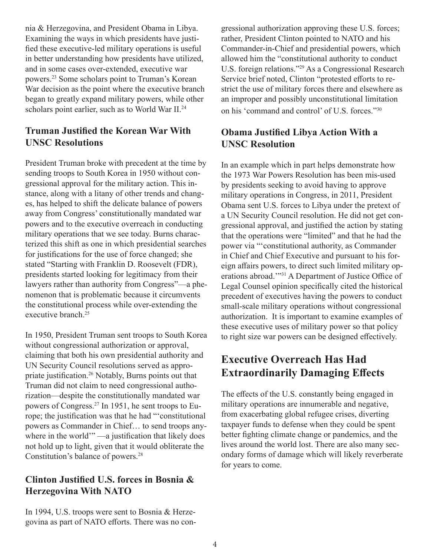nia & Herzegovina, and President Obama in Libya. Examining the ways in which presidents have justified these executive-led military operations is useful in better understanding how presidents have utilized, and in some cases over-extended, executive war powers.23 Some scholars point to Truman's Korean War decision as the point where the executive branch began to greatly expand military powers, while other scholars point earlier, such as to World War II.<sup>24</sup>

## **Truman Justified the Korean War With UNSC Resolutions**

President Truman broke with precedent at the time by sending troops to South Korea in 1950 without congressional approval for the military action. This instance, along with a litany of other trends and changes, has helped to shift the delicate balance of powers away from Congress' constitutionally mandated war powers and to the executive overreach in conducting military operations that we see today. Burns characterized this shift as one in which presidential searches for justifications for the use of force changed; she stated "Starting with Franklin D. Roosevelt (FDR), presidents started looking for legitimacy from their lawyers rather than authority from Congress"—a phenomenon that is problematic because it circumvents the constitutional process while over-extending the executive branch.25

In 1950, President Truman sent troops to South Korea without congressional authorization or approval, claiming that both his own presidential authority and UN Security Council resolutions served as appropriate justification.26 Notably, Burns points out that Truman did not claim to need congressional authorization—despite the constitutionally mandated war powers of Congress.27 In 1951, he sent troops to Europe; the justification was that he had "'constitutional powers as Commander in Chief… to send troops anywhere in the world" —a justification that likely does not hold up to light, given that it would obliterate the Constitution's balance of powers.28

#### **Clinton Justified U.S. forces in Bosnia & Herzegovina With NATO**

In 1994, U.S. troops were sent to Bosnia & Herzegovina as part of NATO efforts. There was no congressional authorization approving these U.S. forces; rather, President Clinton pointed to NATO and his Commander-in-Chief and presidential powers, which allowed him the "constitutional authority to conduct U.S. foreign relations."29 As a Congressional Research Service brief noted, Clinton "protested efforts to restrict the use of military forces there and elsewhere as an improper and possibly unconstitutional limitation on his 'command and control' of U.S. forces."<sup>30</sup>

### **Obama Justified Libya Action With a UNSC Resolution**

In an example which in part helps demonstrate how the 1973 War Powers Resolution has been mis-used by presidents seeking to avoid having to approve military operations in Congress, in 2011, President Obama sent U.S. forces to Libya under the pretext of a UN Security Council resolution. He did not get congressional approval, and justified the action by stating that the operations were "limited" and that he had the power via "'constitutional authority, as Commander in Chief and Chief Executive and pursuant to his foreign affairs powers, to direct such limited military operations abroad.'"31 A Department of Justice Office of Legal Counsel opinion specifically cited the historical precedent of executives having the powers to conduct small-scale military operations without congressional authorization. It is important to examine examples of these executive uses of military power so that policy to right size war powers can be designed effectively.

# **Executive Overreach Has Had Extraordinarily Damaging Effects**

The effects of the U.S. constantly being engaged in military operations are innumerable and negative, from exacerbating global refugee crises, diverting taxpayer funds to defense when they could be spent better fighting climate change or pandemics, and the lives around the world lost. There are also many secondary forms of damage which will likely reverberate for years to come.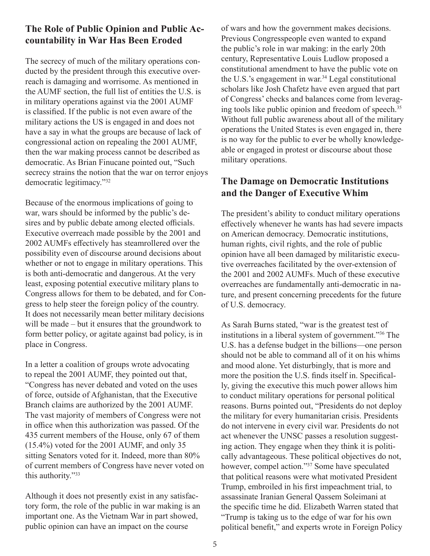#### **The Role of Public Opinion and Public Accountability in War Has Been Eroded**

The secrecy of much of the military operations conducted by the president through this executive overreach is damaging and worrisome. As mentioned in the AUMF section, the full list of entities the U.S. is in military operations against via the 2001 AUMF is classified. If the public is not even aware of the military actions the US is engaged in and does not have a say in what the groups are because of lack of congressional action on repealing the 2001 AUMF, then the war making process cannot be described as democratic. As Brian Finucane pointed out, "Such secrecy strains the notion that the war on terror enjoys democratic legitimacy."32

Because of the enormous implications of going to war, wars should be informed by the public's desires and by public debate among elected officials. Executive overreach made possible by the 2001 and 2002 AUMFs effectively has steamrollered over the possibility even of discourse around decisions about whether or not to engage in military operations. This is both anti-democratic and dangerous. At the very least, exposing potential executive military plans to Congress allows for them to be debated, and for Congress to help steer the foreign policy of the country. It does not necessarily mean better military decisions will be made – but it ensures that the groundwork to form better policy, or agitate against bad policy, is in place in Congress.

In a letter a coalition of groups wrote advocating to repeal the 2001 AUMF, they pointed out that, "Congress has never debated and voted on the uses of force, outside of Afghanistan, that the Executive Branch claims are authorized by the 2001 AUMF. The vast majority of members of Congress were not in office when this authorization was passed. Of the 435 current members of the House, only 67 of them (15.4%) voted for the 2001 AUMF, and only 35 sitting Senators voted for it. Indeed, more than 80% of current members of Congress have never voted on this authority."33

Although it does not presently exist in any satisfactory form, the role of the public in war making is an important one. As the Vietnam War in part showed, public opinion can have an impact on the course

of wars and how the government makes decisions. Previous Congresspeople even wanted to expand the public's role in war making: in the early 20th century, Representative Louis Ludlow proposed a constitutional amendment to have the public vote on the U.S.'s engagement in war.<sup>34</sup> Legal constitutional scholars like Josh Chafetz have even argued that part of Congress' checks and balances come from leveraging tools like public opinion and freedom of speech.35 Without full public awareness about all of the military operations the United States is even engaged in, there is no way for the public to ever be wholly knowledgeable or engaged in protest or discourse about those military operations.

## **The Damage on Democratic Institutions and the Danger of Executive Whim**

The president's ability to conduct military operations effectively whenever he wants has had severe impacts on American democracy. Democratic institutions, human rights, civil rights, and the role of public opinion have all been damaged by militaristic executive overreaches facilitated by the over-extension of the 2001 and 2002 AUMFs. Much of these executive overreaches are fundamentally anti-democratic in nature, and present concerning precedents for the future of U.S. democracy.

As Sarah Burns stated, "war is the greatest test of institutions in a liberal system of government."36 The U.S. has a defense budget in the billions—one person should not be able to command all of it on his whims and mood alone. Yet disturbingly, that is more and more the position the U.S. finds itself in. Specifically, giving the executive this much power allows him to conduct military operations for personal political reasons. Burns pointed out, "Presidents do not deploy the military for every humanitarian crisis. Presidents do not intervene in every civil war. Presidents do not act whenever the UNSC passes a resolution suggesting action. They engage when they think it is politically advantageous. These political objectives do not, however, compel action."37 Some have speculated that political reasons were what motivated President Trump, embroiled in his first impeachment trial, to assassinate Iranian General Qassem Soleimani at the specific time he did. Elizabeth Warren stated that "Trump is taking us to the edge of war for his own political benefit," and experts wrote in Foreign Policy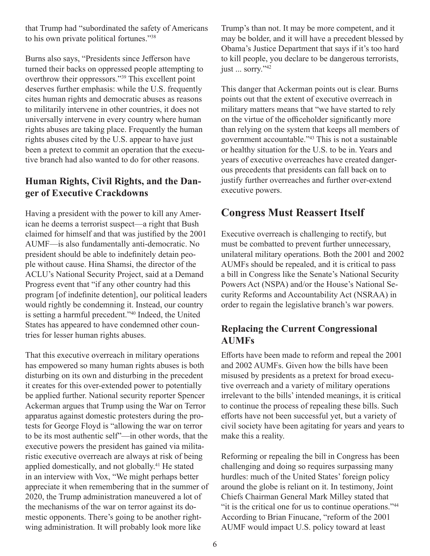that Trump had "subordinated the safety of Americans to his own private political fortunes."38

Burns also says, "Presidents since Jefferson have turned their backs on oppressed people attempting to overthrow their oppressors."39 This excellent point deserves further emphasis: while the U.S. frequently cites human rights and democratic abuses as reasons to militarily intervene in other countries, it does not universally intervene in every country where human rights abuses are taking place. Frequently the human rights abuses cited by the U.S. appear to have just been a pretext to commit an operation that the executive branch had also wanted to do for other reasons.

### **Human Rights, Civil Rights, and the Danger of Executive Crackdowns**

Having a president with the power to kill any American he deems a terrorist suspect—a right that Bush claimed for himself and that was justified by the 2001 AUMF—is also fundamentally anti-democratic. No president should be able to indefinitely detain people without cause. Hina Shamsi, the director of the ACLU's National Security Project, said at a Demand Progress event that "if any other country had this program [of indefinite detention], our political leaders would rightly be condemning it. Instead, our country is setting a harmful precedent."40 Indeed, the United States has appeared to have condemned other countries for lesser human rights abuses.

That this executive overreach in military operations has empowered so many human rights abuses is both disturbing on its own and disturbing in the precedent it creates for this over-extended power to potentially be applied further. National security reporter Spencer Ackerman argues that Trump using the War on Terror apparatus against domestic protesters during the protests for George Floyd is "allowing the war on terror to be its most authentic self"—in other words, that the executive powers the president has gained via militaristic executive overreach are always at risk of being applied domestically, and not globally.41 He stated in an interview with Vox, "We might perhaps better appreciate it when remembering that in the summer of 2020, the Trump administration maneuvered a lot of the mechanisms of the war on terror against its domestic opponents. There's going to be another rightwing administration. It will probably look more like

Trump's than not. It may be more competent, and it may be bolder, and it will have a precedent blessed by Obama's Justice Department that says if it's too hard to kill people, you declare to be dangerous terrorists, just ... sorry."<sup>42</sup>

This danger that Ackerman points out is clear. Burns points out that the extent of executive overreach in military matters means that "we have started to rely on the virtue of the officeholder significantly more than relying on the system that keeps all members of government accountable."43 This is not a sustainable or healthy situation for the U.S. to be in. Years and years of executive overreaches have created dangerous precedents that presidents can fall back on to justify further overreaches and further over-extend executive powers.

# **Congress Must Reassert Itself**

Executive overreach is challenging to rectify, but must be combatted to prevent further unnecessary, unilateral military operations. Both the 2001 and 2002 AUMFs should be repealed, and it is critical to pass a bill in Congress like the Senate's National Security Powers Act (NSPA) and/or the House's National Security Reforms and Accountability Act (NSRAA) in order to regain the legislative branch's war powers.

# **Replacing the Current Congressional AUMFs**

Efforts have been made to reform and repeal the 2001 and 2002 AUMFs. Given how the bills have been misused by presidents as a pretext for broad executive overreach and a variety of military operations irrelevant to the bills' intended meanings, it is critical to continue the process of repealing these bills. Such efforts have not been successful yet, but a variety of civil society have been agitating for years and years to make this a reality.

Reforming or repealing the bill in Congress has been challenging and doing so requires surpassing many hurdles: much of the United States' foreign policy around the globe is reliant on it. In testimony, Joint Chiefs Chairman General Mark Milley stated that "it is the critical one for us to continue operations."44 According to Brian Finucane, "reform of the 2001 AUMF would impact U.S. policy toward at least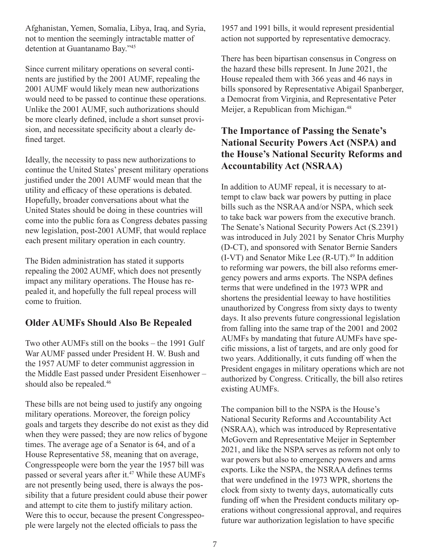Afghanistan, Yemen, Somalia, Libya, Iraq, and Syria, not to mention the seemingly intractable matter of detention at Guantanamo Bay."45

Since current military operations on several continents are justified by the 2001 AUMF, repealing the 2001 AUMF would likely mean new authorizations would need to be passed to continue these operations. Unlike the 2001 AUMF, such authorizations should be more clearly defined, include a short sunset provision, and necessitate specificity about a clearly defined target.

Ideally, the necessity to pass new authorizations to continue the United States' present military operations justified under the 2001 AUMF would mean that the utility and efficacy of these operations is debated. Hopefully, broader conversations about what the United States should be doing in these countries will come into the public fora as Congress debates passing new legislation, post-2001 AUMF, that would replace each present military operation in each country.

The Biden administration has stated it supports repealing the 2002 AUMF, which does not presently impact any military operations. The House has repealed it, and hopefully the full repeal process will come to fruition.

#### **Older AUMFs Should Also Be Repealed**

Two other AUMFs still on the books – the 1991 Gulf War AUMF passed under President H. W. Bush and the 1957 AUMF to deter communist aggression in the Middle East passed under President Eisenhower – should also be repealed.<sup>46</sup>

These bills are not being used to justify any ongoing military operations. Moreover, the foreign policy goals and targets they describe do not exist as they did when they were passed; they are now relics of bygone times. The average age of a Senator is 64, and of a House Representative 58, meaning that on average, Congresspeople were born the year the 1957 bill was passed or several years after it.<sup>47</sup> While these AUMFs are not presently being used, there is always the possibility that a future president could abuse their power and attempt to cite them to justify military action. Were this to occur, because the present Congresspeople were largely not the elected officials to pass the

1957 and 1991 bills, it would represent presidential action not supported by representative democracy.

There has been bipartisan consensus in Congress on the hazard these bills represent. In June 2021, the House repealed them with 366 yeas and 46 nays in bills sponsored by Representative Abigail Spanberger, a Democrat from Virginia, and Representative Peter Meijer, a Republican from Michigan.<sup>48</sup>

# **The Importance of Passing the Senate's National Security Powers Act (NSPA) and the House's National Security Reforms and Accountability Act (NSRAA)**

In addition to AUMF repeal, it is necessary to attempt to claw back war powers by putting in place bills such as the NSRAA and/or NSPA, which seek to take back war powers from the executive branch. The Senate's National Security Powers Act (S.2391) was introduced in July 2021 by Senator Chris Murphy (D-CT), and sponsored with Senator Bernie Sanders  $(I-VT)$  and Senator Mike Lee  $(R-UT)$ .<sup>49</sup> In addition to reforming war powers, the bill also reforms emergency powers and arms exports. The NSPA defines terms that were undefined in the 1973 WPR and shortens the presidential leeway to have hostilities unauthorized by Congress from sixty days to twenty days. It also prevents future congressional legislation from falling into the same trap of the 2001 and 2002 AUMFs by mandating that future AUMFs have specific missions, a list of targets, and are only good for two years. Additionally, it cuts funding off when the President engages in military operations which are not authorized by Congress. Critically, the bill also retires existing AUMFs.

The companion bill to the NSPA is the House's National Security Reforms and Accountability Act (NSRAA), which was introduced by Representative McGovern and Representative Meijer in September 2021, and like the NSPA serves as reform not only to war powers but also to emergency powers and arms exports. Like the NSPA, the NSRAA defines terms that were undefined in the 1973 WPR, shortens the clock from sixty to twenty days, automatically cuts funding off when the President conducts military operations without congressional approval, and requires future war authorization legislation to have specific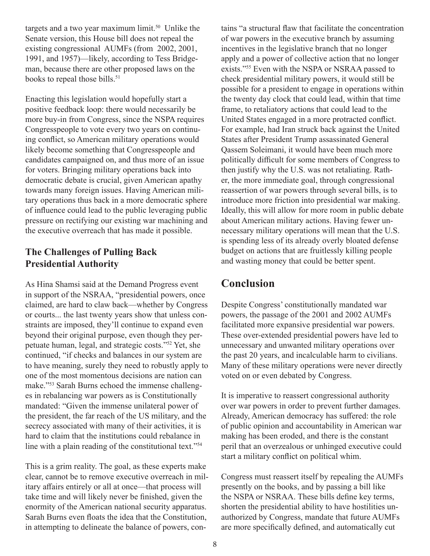targets and a two year maximum limit.<sup>50</sup> Unlike the Senate version, this House bill does not repeal the existing congressional AUMFs (from 2002, 2001, 1991, and 1957)—likely, according to Tess Bridgeman, because there are other proposed laws on the books to repeal those bills.<sup>51</sup>

Enacting this legislation would hopefully start a positive feedback loop: there would necessarily be more buy-in from Congress, since the NSPA requires Congresspeople to vote every two years on continuing conflict, so American military operations would likely become something that Congresspeople and candidates campaigned on, and thus more of an issue for voters. Bringing military operations back into democratic debate is crucial, given American apathy towards many foreign issues. Having American military operations thus back in a more democratic sphere of influence could lead to the public leveraging public pressure on rectifying our existing war machining and the executive overreach that has made it possible.

### **The Challenges of Pulling Back Presidential Authority**

As Hina Shamsi said at the Demand Progress event in support of the NSRAA, "presidential powers, once claimed, are hard to claw back—whether by Congress or courts... the last twenty years show that unless constraints are imposed, they'll continue to expand even beyond their original purpose, even though they perpetuate human, legal, and strategic costs."52 Yet, she continued, "if checks and balances in our system are to have meaning, surely they need to robustly apply to one of the most momentous decisions are nation can make."53 Sarah Burns echoed the immense challenges in rebalancing war powers as is Constitutionally mandated: "Given the immense unilateral power of the president, the far reach of the US military, and the secrecy associated with many of their activities, it is hard to claim that the institutions could rebalance in line with a plain reading of the constitutional text."54

This is a grim reality. The goal, as these experts make clear, cannot be to remove executive overreach in military affairs entirely or all at once—that process will take time and will likely never be finished, given the enormity of the American national security apparatus. Sarah Burns even floats the idea that the Constitution, in attempting to delineate the balance of powers, con-

tains "a structural flaw that facilitate the concentration of war powers in the executive branch by assuming incentives in the legislative branch that no longer apply and a power of collective action that no longer exists."<sup>55</sup> Even with the NSPA or NSRAA passed to check presidential military powers, it would still be possible for a president to engage in operations within the twenty day clock that could lead, within that time frame, to retaliatory actions that could lead to the United States engaged in a more protracted conflict. For example, had Iran struck back against the United States after President Trump assassinated General Qassem Soleimani, it would have been much more politically difficult for some members of Congress to then justify why the U.S. was not retaliating. Rather, the more immediate goal, through congressional reassertion of war powers through several bills, is to introduce more friction into presidential war making. Ideally, this will allow for more room in public debate about American military actions. Having fewer unnecessary military operations will mean that the U.S. is spending less of its already overly bloated defense budget on actions that are fruitlessly killing people and wasting money that could be better spent.

# **Conclusion**

Despite Congress' constitutionally mandated war powers, the passage of the 2001 and 2002 AUMFs facilitated more expansive presidential war powers. These over-extended presidential powers have led to unnecessary and unwanted military operations over the past 20 years, and incalculable harm to civilians. Many of these military operations were never directly voted on or even debated by Congress.

It is imperative to reassert congressional authority over war powers in order to prevent further damages. Already, American democracy has suffered: the role of public opinion and accountability in American war making has been eroded, and there is the constant peril that an overzealous or unhinged executive could start a military conflict on political whim.

Congress must reassert itself by repealing the AUMFs presently on the books, and by passing a bill like the NSPA or NSRAA. These bills define key terms, shorten the presidential ability to have hostilities unauthorized by Congress, mandate that future AUMFs are more specifically defined, and automatically cut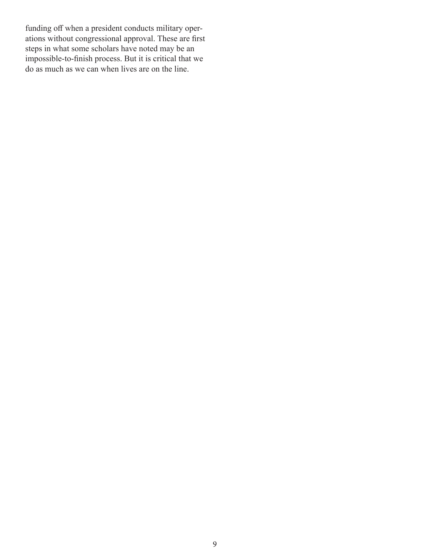funding off when a president conducts military operations without congressional approval. These are first steps in what some scholars have noted may be an impossible-to-finish process. But it is critical that we do as much as we can when lives are on the line.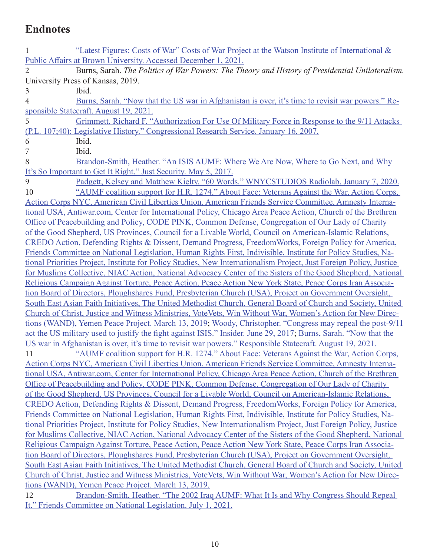# **Endnotes**

| Public Affairs at Brown University. Accessed December 1, 2021.<br>Burns, Sarah. The Politics of War Powers: The Theory and History of Presidential Unilateralism.<br>$\overline{2}$<br>University Press of Kansas, 2019.<br>Ibid.<br>3<br>Burns, Sarah. "Now that the US war in Afghanistan is over, it's time to revisit war powers." Re-<br>$\overline{4}$<br>sponsible Statecraft. August 19, 2021.<br>5<br>Grimmett, Richard F. "Authorization For Use Of Military Force in Response to the 9/11 Attacks<br>(P.L. 107;40): Legislative History." Congressional Research Service. January 16, 2007.<br>Ibid.<br>6<br>Ibid.<br>7<br>8<br>Brandon-Smith, Heather. "An ISIS AUMF: Where We Are Now, Where to Go Next, and Why<br>It's So Important to Get It Right." Just Security. May 5, 2017.<br>9<br>Padgett, Kelsey and Matthew Kielty. "60 Words." WNYCSTUDIOS Radiolab. January 7, 2020.<br>"AUMF coalition support for H.R. 1274." About Face: Veterans Against the War, Action Corps,<br>10<br>Action Corps NYC, American Civil Liberties Union, American Friends Service Committee, Amnesty Interna-<br>tional USA, Antiwar.com, Center for International Policy, Chicago Area Peace Action, Church of the Brethren<br>Office of Peacebuilding and Policy, CODE PINK, Common Defense, Congregation of Our Lady of Charity<br>of the Good Shepherd, US Provinces, Council for a Livable World, Council on American-Islamic Relations,<br>CREDO Action, Defending Rights & Dissent, Demand Progress, Freedom Works, Foreign Policy for America,<br>Friends Committee on National Legislation, Human Rights First, Indivisible, Institute for Policy Studies, Na-<br>tional Priorities Project, Institute for Policy Studies, New Internationalism Project, Just Foreign Policy, Justice<br>for Muslims Collective, NIAC Action, National Advocacy Center of the Sisters of the Good Shepherd, National<br>Religious Campaign Against Torture, Peace Action, Peace Action New York State, Peace Corps Iran Associa-<br>tion Board of Directors, Ploughshares Fund, Presbyterian Church (USA), Project on Government Oversight,<br>South East Asian Faith Initiatives, The United Methodist Church, General Board of Church and Society, United<br>Church of Christ, Justice and Witness Ministries, VoteVets, Win Without War, Women's Action for New Direc-<br>tions (WAND), Yemen Peace Project. March 13, 2019; Woody, Christopher. "Congress may repeal the post-9/11 |  |  |
|----------------------------------------------------------------------------------------------------------------------------------------------------------------------------------------------------------------------------------------------------------------------------------------------------------------------------------------------------------------------------------------------------------------------------------------------------------------------------------------------------------------------------------------------------------------------------------------------------------------------------------------------------------------------------------------------------------------------------------------------------------------------------------------------------------------------------------------------------------------------------------------------------------------------------------------------------------------------------------------------------------------------------------------------------------------------------------------------------------------------------------------------------------------------------------------------------------------------------------------------------------------------------------------------------------------------------------------------------------------------------------------------------------------------------------------------------------------------------------------------------------------------------------------------------------------------------------------------------------------------------------------------------------------------------------------------------------------------------------------------------------------------------------------------------------------------------------------------------------------------------------------------------------------------------------------------------------------------------------------------------------------------------------------------------------------------------------------------------------------------------------------------------------------------------------------------------------------------------------------------------------------------------------------------------------------------------------------------------------------------------------------------------------------------------------------------------------------------------------|--|--|
|                                                                                                                                                                                                                                                                                                                                                                                                                                                                                                                                                                                                                                                                                                                                                                                                                                                                                                                                                                                                                                                                                                                                                                                                                                                                                                                                                                                                                                                                                                                                                                                                                                                                                                                                                                                                                                                                                                                                                                                                                                                                                                                                                                                                                                                                                                                                                                                                                                                                                  |  |  |
|                                                                                                                                                                                                                                                                                                                                                                                                                                                                                                                                                                                                                                                                                                                                                                                                                                                                                                                                                                                                                                                                                                                                                                                                                                                                                                                                                                                                                                                                                                                                                                                                                                                                                                                                                                                                                                                                                                                                                                                                                                                                                                                                                                                                                                                                                                                                                                                                                                                                                  |  |  |
|                                                                                                                                                                                                                                                                                                                                                                                                                                                                                                                                                                                                                                                                                                                                                                                                                                                                                                                                                                                                                                                                                                                                                                                                                                                                                                                                                                                                                                                                                                                                                                                                                                                                                                                                                                                                                                                                                                                                                                                                                                                                                                                                                                                                                                                                                                                                                                                                                                                                                  |  |  |
|                                                                                                                                                                                                                                                                                                                                                                                                                                                                                                                                                                                                                                                                                                                                                                                                                                                                                                                                                                                                                                                                                                                                                                                                                                                                                                                                                                                                                                                                                                                                                                                                                                                                                                                                                                                                                                                                                                                                                                                                                                                                                                                                                                                                                                                                                                                                                                                                                                                                                  |  |  |
|                                                                                                                                                                                                                                                                                                                                                                                                                                                                                                                                                                                                                                                                                                                                                                                                                                                                                                                                                                                                                                                                                                                                                                                                                                                                                                                                                                                                                                                                                                                                                                                                                                                                                                                                                                                                                                                                                                                                                                                                                                                                                                                                                                                                                                                                                                                                                                                                                                                                                  |  |  |
|                                                                                                                                                                                                                                                                                                                                                                                                                                                                                                                                                                                                                                                                                                                                                                                                                                                                                                                                                                                                                                                                                                                                                                                                                                                                                                                                                                                                                                                                                                                                                                                                                                                                                                                                                                                                                                                                                                                                                                                                                                                                                                                                                                                                                                                                                                                                                                                                                                                                                  |  |  |
|                                                                                                                                                                                                                                                                                                                                                                                                                                                                                                                                                                                                                                                                                                                                                                                                                                                                                                                                                                                                                                                                                                                                                                                                                                                                                                                                                                                                                                                                                                                                                                                                                                                                                                                                                                                                                                                                                                                                                                                                                                                                                                                                                                                                                                                                                                                                                                                                                                                                                  |  |  |
|                                                                                                                                                                                                                                                                                                                                                                                                                                                                                                                                                                                                                                                                                                                                                                                                                                                                                                                                                                                                                                                                                                                                                                                                                                                                                                                                                                                                                                                                                                                                                                                                                                                                                                                                                                                                                                                                                                                                                                                                                                                                                                                                                                                                                                                                                                                                                                                                                                                                                  |  |  |
|                                                                                                                                                                                                                                                                                                                                                                                                                                                                                                                                                                                                                                                                                                                                                                                                                                                                                                                                                                                                                                                                                                                                                                                                                                                                                                                                                                                                                                                                                                                                                                                                                                                                                                                                                                                                                                                                                                                                                                                                                                                                                                                                                                                                                                                                                                                                                                                                                                                                                  |  |  |
|                                                                                                                                                                                                                                                                                                                                                                                                                                                                                                                                                                                                                                                                                                                                                                                                                                                                                                                                                                                                                                                                                                                                                                                                                                                                                                                                                                                                                                                                                                                                                                                                                                                                                                                                                                                                                                                                                                                                                                                                                                                                                                                                                                                                                                                                                                                                                                                                                                                                                  |  |  |
|                                                                                                                                                                                                                                                                                                                                                                                                                                                                                                                                                                                                                                                                                                                                                                                                                                                                                                                                                                                                                                                                                                                                                                                                                                                                                                                                                                                                                                                                                                                                                                                                                                                                                                                                                                                                                                                                                                                                                                                                                                                                                                                                                                                                                                                                                                                                                                                                                                                                                  |  |  |
|                                                                                                                                                                                                                                                                                                                                                                                                                                                                                                                                                                                                                                                                                                                                                                                                                                                                                                                                                                                                                                                                                                                                                                                                                                                                                                                                                                                                                                                                                                                                                                                                                                                                                                                                                                                                                                                                                                                                                                                                                                                                                                                                                                                                                                                                                                                                                                                                                                                                                  |  |  |
|                                                                                                                                                                                                                                                                                                                                                                                                                                                                                                                                                                                                                                                                                                                                                                                                                                                                                                                                                                                                                                                                                                                                                                                                                                                                                                                                                                                                                                                                                                                                                                                                                                                                                                                                                                                                                                                                                                                                                                                                                                                                                                                                                                                                                                                                                                                                                                                                                                                                                  |  |  |
|                                                                                                                                                                                                                                                                                                                                                                                                                                                                                                                                                                                                                                                                                                                                                                                                                                                                                                                                                                                                                                                                                                                                                                                                                                                                                                                                                                                                                                                                                                                                                                                                                                                                                                                                                                                                                                                                                                                                                                                                                                                                                                                                                                                                                                                                                                                                                                                                                                                                                  |  |  |
|                                                                                                                                                                                                                                                                                                                                                                                                                                                                                                                                                                                                                                                                                                                                                                                                                                                                                                                                                                                                                                                                                                                                                                                                                                                                                                                                                                                                                                                                                                                                                                                                                                                                                                                                                                                                                                                                                                                                                                                                                                                                                                                                                                                                                                                                                                                                                                                                                                                                                  |  |  |
|                                                                                                                                                                                                                                                                                                                                                                                                                                                                                                                                                                                                                                                                                                                                                                                                                                                                                                                                                                                                                                                                                                                                                                                                                                                                                                                                                                                                                                                                                                                                                                                                                                                                                                                                                                                                                                                                                                                                                                                                                                                                                                                                                                                                                                                                                                                                                                                                                                                                                  |  |  |
|                                                                                                                                                                                                                                                                                                                                                                                                                                                                                                                                                                                                                                                                                                                                                                                                                                                                                                                                                                                                                                                                                                                                                                                                                                                                                                                                                                                                                                                                                                                                                                                                                                                                                                                                                                                                                                                                                                                                                                                                                                                                                                                                                                                                                                                                                                                                                                                                                                                                                  |  |  |
|                                                                                                                                                                                                                                                                                                                                                                                                                                                                                                                                                                                                                                                                                                                                                                                                                                                                                                                                                                                                                                                                                                                                                                                                                                                                                                                                                                                                                                                                                                                                                                                                                                                                                                                                                                                                                                                                                                                                                                                                                                                                                                                                                                                                                                                                                                                                                                                                                                                                                  |  |  |
|                                                                                                                                                                                                                                                                                                                                                                                                                                                                                                                                                                                                                                                                                                                                                                                                                                                                                                                                                                                                                                                                                                                                                                                                                                                                                                                                                                                                                                                                                                                                                                                                                                                                                                                                                                                                                                                                                                                                                                                                                                                                                                                                                                                                                                                                                                                                                                                                                                                                                  |  |  |
|                                                                                                                                                                                                                                                                                                                                                                                                                                                                                                                                                                                                                                                                                                                                                                                                                                                                                                                                                                                                                                                                                                                                                                                                                                                                                                                                                                                                                                                                                                                                                                                                                                                                                                                                                                                                                                                                                                                                                                                                                                                                                                                                                                                                                                                                                                                                                                                                                                                                                  |  |  |
|                                                                                                                                                                                                                                                                                                                                                                                                                                                                                                                                                                                                                                                                                                                                                                                                                                                                                                                                                                                                                                                                                                                                                                                                                                                                                                                                                                                                                                                                                                                                                                                                                                                                                                                                                                                                                                                                                                                                                                                                                                                                                                                                                                                                                                                                                                                                                                                                                                                                                  |  |  |
|                                                                                                                                                                                                                                                                                                                                                                                                                                                                                                                                                                                                                                                                                                                                                                                                                                                                                                                                                                                                                                                                                                                                                                                                                                                                                                                                                                                                                                                                                                                                                                                                                                                                                                                                                                                                                                                                                                                                                                                                                                                                                                                                                                                                                                                                                                                                                                                                                                                                                  |  |  |
|                                                                                                                                                                                                                                                                                                                                                                                                                                                                                                                                                                                                                                                                                                                                                                                                                                                                                                                                                                                                                                                                                                                                                                                                                                                                                                                                                                                                                                                                                                                                                                                                                                                                                                                                                                                                                                                                                                                                                                                                                                                                                                                                                                                                                                                                                                                                                                                                                                                                                  |  |  |
|                                                                                                                                                                                                                                                                                                                                                                                                                                                                                                                                                                                                                                                                                                                                                                                                                                                                                                                                                                                                                                                                                                                                                                                                                                                                                                                                                                                                                                                                                                                                                                                                                                                                                                                                                                                                                                                                                                                                                                                                                                                                                                                                                                                                                                                                                                                                                                                                                                                                                  |  |  |
|                                                                                                                                                                                                                                                                                                                                                                                                                                                                                                                                                                                                                                                                                                                                                                                                                                                                                                                                                                                                                                                                                                                                                                                                                                                                                                                                                                                                                                                                                                                                                                                                                                                                                                                                                                                                                                                                                                                                                                                                                                                                                                                                                                                                                                                                                                                                                                                                                                                                                  |  |  |
|                                                                                                                                                                                                                                                                                                                                                                                                                                                                                                                                                                                                                                                                                                                                                                                                                                                                                                                                                                                                                                                                                                                                                                                                                                                                                                                                                                                                                                                                                                                                                                                                                                                                                                                                                                                                                                                                                                                                                                                                                                                                                                                                                                                                                                                                                                                                                                                                                                                                                  |  |  |
|                                                                                                                                                                                                                                                                                                                                                                                                                                                                                                                                                                                                                                                                                                                                                                                                                                                                                                                                                                                                                                                                                                                                                                                                                                                                                                                                                                                                                                                                                                                                                                                                                                                                                                                                                                                                                                                                                                                                                                                                                                                                                                                                                                                                                                                                                                                                                                                                                                                                                  |  |  |
| act the US military used to justify the fight against ISIS." Insider. June 29, 2017; Burns, Sarah. "Now that the                                                                                                                                                                                                                                                                                                                                                                                                                                                                                                                                                                                                                                                                                                                                                                                                                                                                                                                                                                                                                                                                                                                                                                                                                                                                                                                                                                                                                                                                                                                                                                                                                                                                                                                                                                                                                                                                                                                                                                                                                                                                                                                                                                                                                                                                                                                                                                 |  |  |
| US war in Afghanistan is over, it's time to revisit war powers." Responsible Statecraft. August 19, 2021.                                                                                                                                                                                                                                                                                                                                                                                                                                                                                                                                                                                                                                                                                                                                                                                                                                                                                                                                                                                                                                                                                                                                                                                                                                                                                                                                                                                                                                                                                                                                                                                                                                                                                                                                                                                                                                                                                                                                                                                                                                                                                                                                                                                                                                                                                                                                                                        |  |  |
| "AUMF coalition support for H.R. 1274." About Face: Veterans Against the War, Action Corps,<br>11                                                                                                                                                                                                                                                                                                                                                                                                                                                                                                                                                                                                                                                                                                                                                                                                                                                                                                                                                                                                                                                                                                                                                                                                                                                                                                                                                                                                                                                                                                                                                                                                                                                                                                                                                                                                                                                                                                                                                                                                                                                                                                                                                                                                                                                                                                                                                                                |  |  |
| Action Corps NYC, American Civil Liberties Union, American Friends Service Committee, Amnesty Interna-                                                                                                                                                                                                                                                                                                                                                                                                                                                                                                                                                                                                                                                                                                                                                                                                                                                                                                                                                                                                                                                                                                                                                                                                                                                                                                                                                                                                                                                                                                                                                                                                                                                                                                                                                                                                                                                                                                                                                                                                                                                                                                                                                                                                                                                                                                                                                                           |  |  |
| tional USA, Antiwar.com, Center for International Policy, Chicago Area Peace Action, Church of the Brethren                                                                                                                                                                                                                                                                                                                                                                                                                                                                                                                                                                                                                                                                                                                                                                                                                                                                                                                                                                                                                                                                                                                                                                                                                                                                                                                                                                                                                                                                                                                                                                                                                                                                                                                                                                                                                                                                                                                                                                                                                                                                                                                                                                                                                                                                                                                                                                      |  |  |
| Office of Peacebuilding and Policy, CODE PINK, Common Defense, Congregation of Our Lady of Charity                                                                                                                                                                                                                                                                                                                                                                                                                                                                                                                                                                                                                                                                                                                                                                                                                                                                                                                                                                                                                                                                                                                                                                                                                                                                                                                                                                                                                                                                                                                                                                                                                                                                                                                                                                                                                                                                                                                                                                                                                                                                                                                                                                                                                                                                                                                                                                               |  |  |
| of the Good Shepherd, US Provinces, Council for a Livable World, Council on American-Islamic Relations,                                                                                                                                                                                                                                                                                                                                                                                                                                                                                                                                                                                                                                                                                                                                                                                                                                                                                                                                                                                                                                                                                                                                                                                                                                                                                                                                                                                                                                                                                                                                                                                                                                                                                                                                                                                                                                                                                                                                                                                                                                                                                                                                                                                                                                                                                                                                                                          |  |  |
| CREDO Action, Defending Rights & Dissent, Demand Progress, Freedom Works, Foreign Policy for America,                                                                                                                                                                                                                                                                                                                                                                                                                                                                                                                                                                                                                                                                                                                                                                                                                                                                                                                                                                                                                                                                                                                                                                                                                                                                                                                                                                                                                                                                                                                                                                                                                                                                                                                                                                                                                                                                                                                                                                                                                                                                                                                                                                                                                                                                                                                                                                            |  |  |
| Friends Committee on National Legislation, Human Rights First, Indivisible, Institute for Policy Studies, Na-                                                                                                                                                                                                                                                                                                                                                                                                                                                                                                                                                                                                                                                                                                                                                                                                                                                                                                                                                                                                                                                                                                                                                                                                                                                                                                                                                                                                                                                                                                                                                                                                                                                                                                                                                                                                                                                                                                                                                                                                                                                                                                                                                                                                                                                                                                                                                                    |  |  |
| tional Priorities Project, Institute for Policy Studies, New Internationalism Project, Just Foreign Policy, Justice                                                                                                                                                                                                                                                                                                                                                                                                                                                                                                                                                                                                                                                                                                                                                                                                                                                                                                                                                                                                                                                                                                                                                                                                                                                                                                                                                                                                                                                                                                                                                                                                                                                                                                                                                                                                                                                                                                                                                                                                                                                                                                                                                                                                                                                                                                                                                              |  |  |
| for Muslims Collective, NIAC Action, National Advocacy Center of the Sisters of the Good Shepherd, National                                                                                                                                                                                                                                                                                                                                                                                                                                                                                                                                                                                                                                                                                                                                                                                                                                                                                                                                                                                                                                                                                                                                                                                                                                                                                                                                                                                                                                                                                                                                                                                                                                                                                                                                                                                                                                                                                                                                                                                                                                                                                                                                                                                                                                                                                                                                                                      |  |  |
| Religious Campaign Against Torture, Peace Action, Peace Action New York State, Peace Corps Iran Associa-                                                                                                                                                                                                                                                                                                                                                                                                                                                                                                                                                                                                                                                                                                                                                                                                                                                                                                                                                                                                                                                                                                                                                                                                                                                                                                                                                                                                                                                                                                                                                                                                                                                                                                                                                                                                                                                                                                                                                                                                                                                                                                                                                                                                                                                                                                                                                                         |  |  |
| tion Board of Directors, Ploughshares Fund, Presbyterian Church (USA), Project on Government Oversight,                                                                                                                                                                                                                                                                                                                                                                                                                                                                                                                                                                                                                                                                                                                                                                                                                                                                                                                                                                                                                                                                                                                                                                                                                                                                                                                                                                                                                                                                                                                                                                                                                                                                                                                                                                                                                                                                                                                                                                                                                                                                                                                                                                                                                                                                                                                                                                          |  |  |
| South East Asian Faith Initiatives, The United Methodist Church, General Board of Church and Society, United                                                                                                                                                                                                                                                                                                                                                                                                                                                                                                                                                                                                                                                                                                                                                                                                                                                                                                                                                                                                                                                                                                                                                                                                                                                                                                                                                                                                                                                                                                                                                                                                                                                                                                                                                                                                                                                                                                                                                                                                                                                                                                                                                                                                                                                                                                                                                                     |  |  |
| Church of Christ, Justice and Witness Ministries, VoteVets, Win Without War, Women's Action for New Direc-                                                                                                                                                                                                                                                                                                                                                                                                                                                                                                                                                                                                                                                                                                                                                                                                                                                                                                                                                                                                                                                                                                                                                                                                                                                                                                                                                                                                                                                                                                                                                                                                                                                                                                                                                                                                                                                                                                                                                                                                                                                                                                                                                                                                                                                                                                                                                                       |  |  |
| tions (WAND), Yemen Peace Project. March 13, 2019.                                                                                                                                                                                                                                                                                                                                                                                                                                                                                                                                                                                                                                                                                                                                                                                                                                                                                                                                                                                                                                                                                                                                                                                                                                                                                                                                                                                                                                                                                                                                                                                                                                                                                                                                                                                                                                                                                                                                                                                                                                                                                                                                                                                                                                                                                                                                                                                                                               |  |  |
| Brandon-Smith, Heather. "The 2002 Iraq AUMF: What It Is and Why Congress Should Repeal<br>12                                                                                                                                                                                                                                                                                                                                                                                                                                                                                                                                                                                                                                                                                                                                                                                                                                                                                                                                                                                                                                                                                                                                                                                                                                                                                                                                                                                                                                                                                                                                                                                                                                                                                                                                                                                                                                                                                                                                                                                                                                                                                                                                                                                                                                                                                                                                                                                     |  |  |
| It." Friends Committee on National Legislation. July 1, 2021.                                                                                                                                                                                                                                                                                                                                                                                                                                                                                                                                                                                                                                                                                                                                                                                                                                                                                                                                                                                                                                                                                                                                                                                                                                                                                                                                                                                                                                                                                                                                                                                                                                                                                                                                                                                                                                                                                                                                                                                                                                                                                                                                                                                                                                                                                                                                                                                                                    |  |  |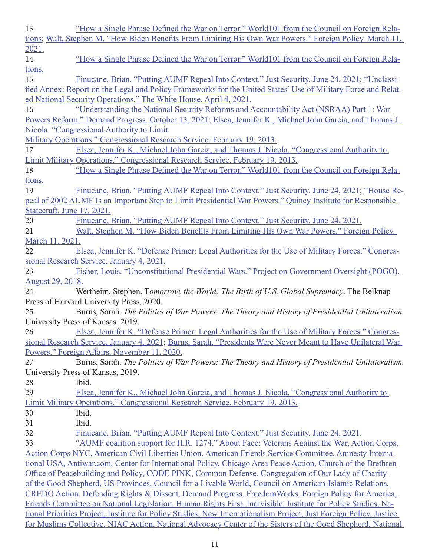| 13                         | "How a Single Phrase Defined the War on Terror." World101 from the Council on Foreign Rela-                         |
|----------------------------|---------------------------------------------------------------------------------------------------------------------|
|                            | tions; Walt, Stephen M. "How Biden Benefits From Limiting His Own War Powers." Foreign Policy. March 11,            |
| 2021.                      |                                                                                                                     |
| 14                         | "How a Single Phrase Defined the War on Terror." World101 from the Council on Foreign Rela-                         |
| tions.                     |                                                                                                                     |
| 15                         | Finucane, Brian. "Putting AUMF Repeal Into Context." Just Security. June 24, 2021; "Unclassi-                       |
|                            | fied Annex: Report on the Legal and Policy Frameworks for the United States' Use of Military Force and Relat-       |
|                            | ed National Security Operations." The White House. April 4, 2021.                                                   |
| 16                         | "Understanding the National Security Reforms and Accountability Act (NSRAA) Part 1: War                             |
|                            | Powers Reform." Demand Progress. October 13, 2021; Elsea, Jennifer K., Michael John Garcia, and Thomas J.           |
|                            | Nicola. "Congressional Authority to Limit                                                                           |
|                            | Military Operations." Congressional Research Service. February 19, 2013.                                            |
| 17                         | Elsea, Jennifer K., Michael John Garcia, and Thomas J. Nicola. "Congressional Authority to                          |
|                            | Limit Military Operations." Congressional Research Service. February 19, 2013.                                      |
| 18                         | "How a Single Phrase Defined the War on Terror." World101 from the Council on Foreign Rela-                         |
| tions.                     |                                                                                                                     |
| 19                         | Finucane, Brian. "Putting AUMF Repeal Into Context." Just Security. June 24, 2021; "House Re-                       |
|                            | peal of 2002 AUMF Is an Important Step to Limit Presidential War Powers." Quincy Institute for Responsible          |
| Statecraft. June 17, 2021. |                                                                                                                     |
| 20                         | Finucane, Brian. "Putting AUMF Repeal Into Context." Just Security. June 24, 2021.                                  |
|                            |                                                                                                                     |
| 21                         | Walt, Stephen M. "How Biden Benefits From Limiting His Own War Powers." Foreign Policy.                             |
| March 11, 2021.            |                                                                                                                     |
| 22                         | Elsea, Jennifer K. "Defense Primer: Legal Authorities for the Use of Military Forces." Congres-                     |
|                            | sional Research Service. January 4, 2021.                                                                           |
| 23                         | Fisher, Louis. "Unconstitutional Presidential Wars." Project on Government Oversight (POGO).                        |
|                            |                                                                                                                     |
| <b>August 29, 2018.</b>    |                                                                                                                     |
| 24                         | Wertheim, Stephen. Tomorrow, the World: The Birth of U.S. Global Supremacy. The Belknap                             |
|                            | Press of Harvard University Press, 2020.                                                                            |
| 25                         | Burns, Sarah. The Politics of War Powers: The Theory and History of Presidential Unilateralism.                     |
|                            | University Press of Kansas, 2019.                                                                                   |
| 26                         | Elsea, Jennifer K. "Defense Primer: Legal Authorities for the Use of Military Forces." Congres-                     |
|                            | sional Research Service. January 4, 2021; Burns, Sarah. "Presidents Were Never Meant to Have Unilateral War         |
|                            | Powers." Foreign Affairs. November 11, 2020.                                                                        |
| 27                         | Burns, Sarah. The Politics of War Powers: The Theory and History of Presidential Unilateralism.                     |
|                            | University Press of Kansas, 2019.                                                                                   |
| 28                         | Ibid.                                                                                                               |
| 29                         | Elsea, Jennifer K., Michael John Garcia, and Thomas J. Nicola. "Congressional Authority to                          |
|                            | Limit Military Operations." Congressional Research Service. February 19, 2013.                                      |
| 30                         | Ibid.                                                                                                               |
| 31                         | Ibid.                                                                                                               |
| 32                         | Finucane, Brian. "Putting AUMF Repeal Into Context." Just Security. June 24, 2021.                                  |
| 33                         | "AUMF coalition support for H.R. 1274." About Face: Veterans Against the War, Action Corps,                         |
|                            | Action Corps NYC, American Civil Liberties Union, American Friends Service Committee, Amnesty Interna-              |
|                            | tional USA, Antiwar.com, Center for International Policy, Chicago Area Peace Action, Church of the Brethren         |
|                            | Office of Peacebuilding and Policy, CODE PINK, Common Defense, Congregation of Our Lady of Charity                  |
|                            | of the Good Shepherd, US Provinces, Council for a Livable World, Council on American-Islamic Relations,             |
|                            | CREDO Action, Defending Rights & Dissent, Demand Progress, Freedom Works, Foreign Policy for America,               |
|                            | Friends Committee on National Legislation, Human Rights First, Indivisible, Institute for Policy Studies, Na-       |
|                            | tional Priorities Project, Institute for Policy Studies, New Internationalism Project, Just Foreign Policy, Justice |